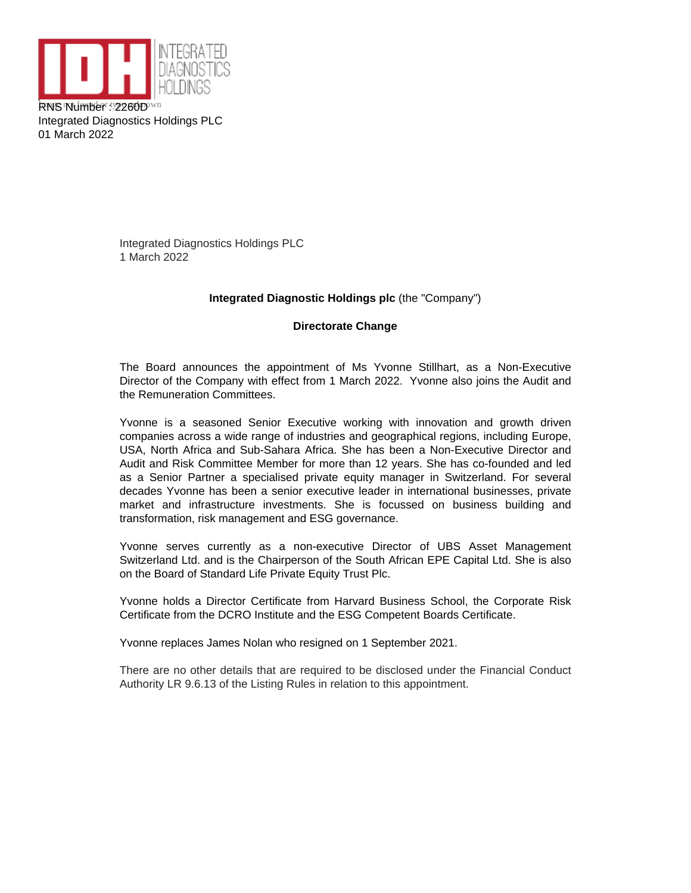

Integrated Diagnostics Holdings PLC 01 March 2022

> Integrated Diagnostics Holdings PLC 1 March 2022

## **Integrated Diagnostic Holdings plc** (the "Company")

## **Directorate Change**

The Board announces the appointment of Ms Yvonne Stillhart, as a Non-Executive Director of the Company with effect from 1 March 2022. Yvonne also joins the Audit and the Remuneration Committees.

Yvonne is a seasoned Senior Executive working with innovation and growth driven companies across a wide range of industries and geographical regions, including Europe, USA, North Africa and Sub-Sahara Africa. She has been a Non-Executive Director and Audit and Risk Committee Member for more than 12 years. She has co-founded and led as a Senior Partner a specialised private equity manager in Switzerland. For several decades Yvonne has been a senior executive leader in international businesses, private market and infrastructure investments. She is focussed on business building and transformation, risk management and ESG governance.

Yvonne serves currently as a non-executive Director of UBS Asset Management Switzerland Ltd. and is the Chairperson of the South African EPE Capital Ltd. She is also on the Board of Standard Life Private Equity Trust Plc.

Yvonne holds a Director Certificate from Harvard Business School, the Corporate Risk Certificate from the DCRO Institute and the ESG Competent Boards Certificate.

Yvonne replaces James Nolan who resigned on 1 September 2021.

There are no other details that are required to be disclosed under the Financial Conduct Authority LR 9.6.13 of the Listing Rules in relation to this appointment.